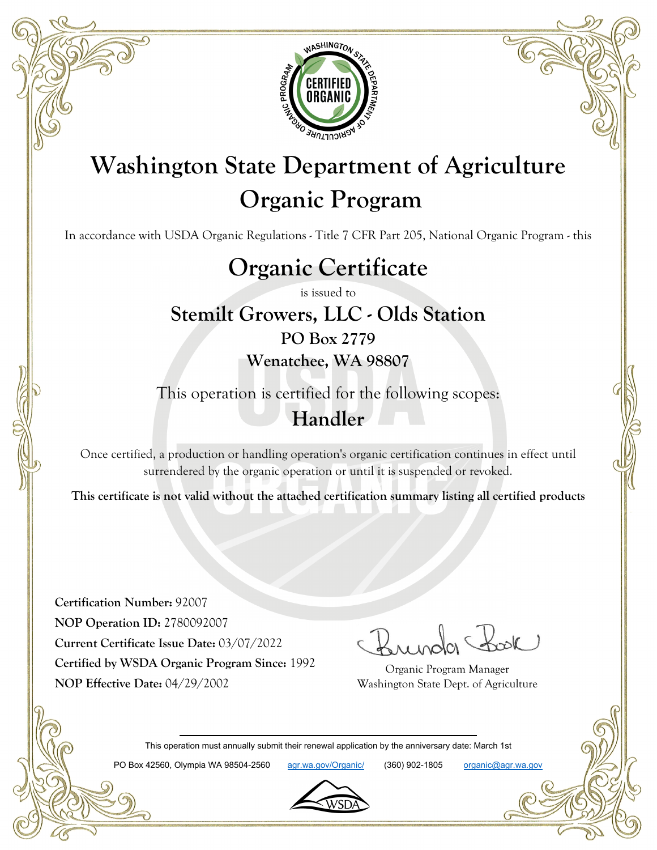

# **Washington State Department of Agriculture Organic Program**

In accordance with USDA Organic Regulations - Title 7 CFR Part 205, National Organic Program - this

# **Organic Certificate**

is issued to

### **Stemilt Growers, LLC - Olds Station PO Box 2779 Wenatchee, WA 98807**

This operation is certified for the following scopes: **Handler**

Once certified, a production or handling operation's organic certification continues in effect until surrendered by the organic operation or until it is suspended or revoked.

**This certificate is not valid without the attached certification summary listing all certified products**

**Certification Number:** 92007 **NOP Operation ID:** 2780092007 **Current Certificate Issue Date:** 03/07/2022 **Certified by WSDA Organic Program Since:** 1992 **NOP Effective Date:** 04/29/2002

Organic Program Manager Washington State Dept. of Agriculture

This operation must annually submit their renewal application by the anniversary date: March 1st

PO Box 42560, Olympia WA 98504-2560 agr.wa.gov/Organic/ (360) 902-1805 organic@agr.wa.gov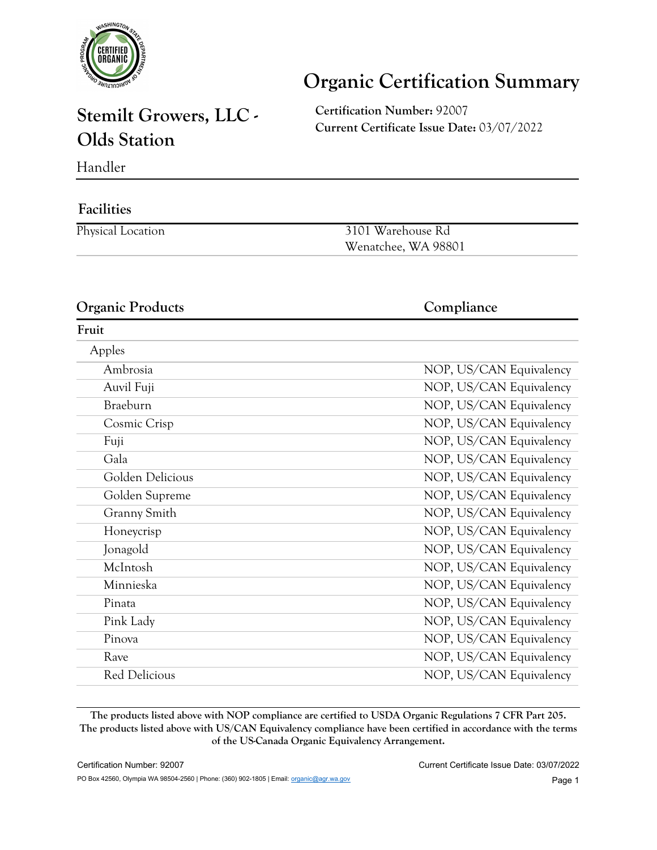

# **Organic Certification Summary**

## **Stemilt Growers, LLC - Olds Station**

**Certification Number:** 92007 **Current Certificate Issue Date:** 03/07/2022

Handler

#### **Facilities**

Physical Location 3101 Warehouse Rd Wenatchee, WA 98801

#### **Organic Products Compliance**

#### **Fruit** Apples Ambrosia NOP, US/CAN Equivalency Auvil Fuji **NOP, US/CAN Equivalency** Braeburn NOP, US/CAN Equivalency Cosmic Crisp NOP, US/CAN Equivalency Fuji NOP, US/CAN Equivalency Gala Gala NOP, US/CAN Equivalency Golden Delicious NOP, US/CAN Equivalency Golden Supreme NOP, US/CAN Equivalency Granny Smith NOP, US/CAN Equivalency Honeycrisp NOP, US/CAN Equivalency Jonagold NOP, US/CAN Equivalency McIntosh NOP, US/CAN Equivalency Minnieska NOP, US/CAN Equivalency Pinata NOP, US/CAN Equivalency Pink Lady NOP, US/CAN Equivalency Pinova NOP, US/CAN Equivalency Rave NOP, US/CAN Equivalency Red Delicious NOP, US/CAN Equivalency

**The products listed above with NOP compliance are certified to USDA Organic Regulations 7 CFR Part 205. The products listed above with US/CAN Equivalency compliance have been certified in accordance with the terms of the US-Canada Organic Equivalency Arrangement.**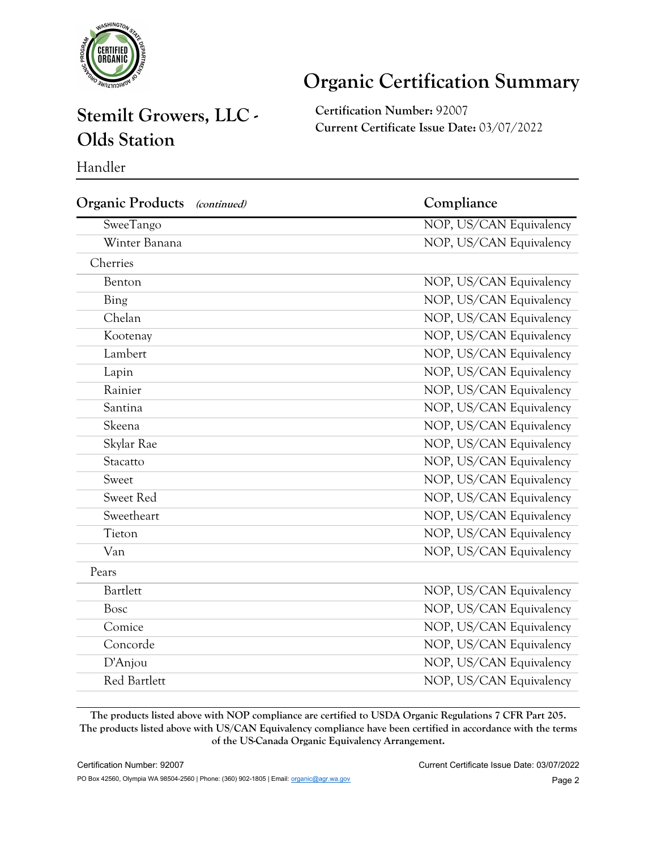

# **Organic Certification Summary**

### **Stemilt Growers, LLC - Olds Station**

**Certification Number:** 92007 **Current Certificate Issue Date:** 03/07/2022

Handler

| <b>Organic Products</b><br>(continued) | Compliance              |  |
|----------------------------------------|-------------------------|--|
| SweeTango                              | NOP, US/CAN Equivalency |  |
| Winter Banana                          | NOP, US/CAN Equivalency |  |
| Cherries                               |                         |  |
| Benton                                 | NOP, US/CAN Equivalency |  |
| Bing                                   | NOP, US/CAN Equivalency |  |
| Chelan                                 | NOP, US/CAN Equivalency |  |
| Kootenay                               | NOP, US/CAN Equivalency |  |
| Lambert                                | NOP, US/CAN Equivalency |  |
| Lapin                                  | NOP, US/CAN Equivalency |  |
| Rainier                                | NOP, US/CAN Equivalency |  |
| Santina                                | NOP, US/CAN Equivalency |  |
| Skeena                                 | NOP, US/CAN Equivalency |  |
| Skylar Rae                             | NOP, US/CAN Equivalency |  |
| Stacatto                               | NOP, US/CAN Equivalency |  |
| Sweet                                  | NOP, US/CAN Equivalency |  |
| Sweet Red                              | NOP, US/CAN Equivalency |  |
| Sweetheart                             | NOP, US/CAN Equivalency |  |
| Tieton                                 | NOP, US/CAN Equivalency |  |
| Van                                    | NOP, US/CAN Equivalency |  |
| Pears                                  |                         |  |
| Bartlett                               | NOP, US/CAN Equivalency |  |
| Bosc                                   | NOP, US/CAN Equivalency |  |
| Comice                                 | NOP, US/CAN Equivalency |  |
| Concorde                               | NOP, US/CAN Equivalency |  |
| D'Anjou                                | NOP, US/CAN Equivalency |  |
| Red Bartlett                           | NOP, US/CAN Equivalency |  |

**The products listed above with NOP compliance are certified to USDA Organic Regulations 7 CFR Part 205. The products listed above with US/CAN Equivalency compliance have been certified in accordance with the terms of the US-Canada Organic Equivalency Arrangement.**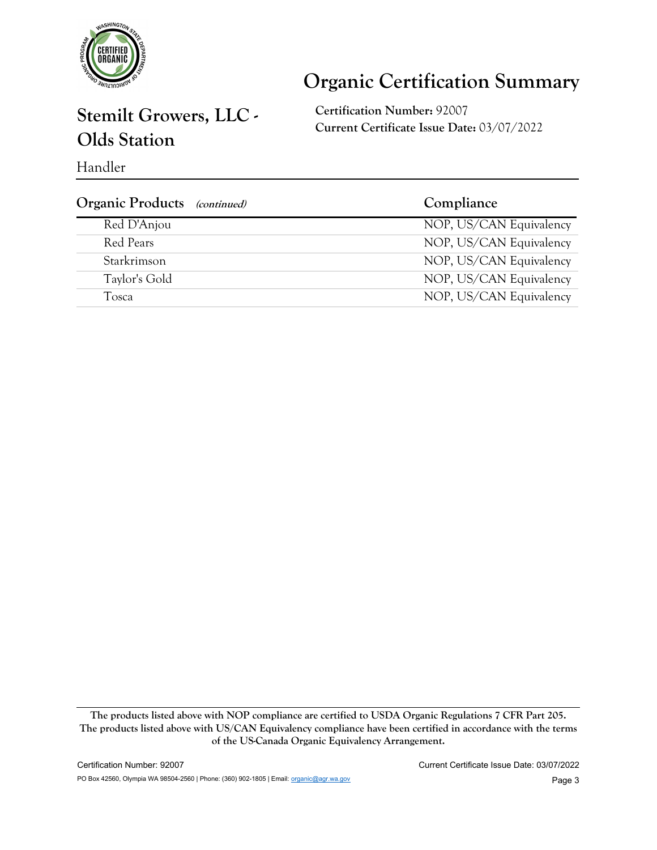

# **Organic Certification Summary**

### **Stemilt Growers, LLC - Olds Station**

**Certification Number:** 92007 **Current Certificate Issue Date:** 03/07/2022

Handler

| <b>Organic Products</b> (continued) | Compliance              |
|-------------------------------------|-------------------------|
| Red D'Anjou                         | NOP, US/CAN Equivalency |
| Red Pears                           | NOP, US/CAN Equivalency |
| Starkrimson                         | NOP, US/CAN Equivalency |
| Taylor's Gold                       | NOP, US/CAN Equivalency |
| Tosca                               | NOP, US/CAN Equivalency |

**The products listed above with NOP compliance are certified to USDA Organic Regulations 7 CFR Part 205. The products listed above with US/CAN Equivalency compliance have been certified in accordance with the terms of the US-Canada Organic Equivalency Arrangement.**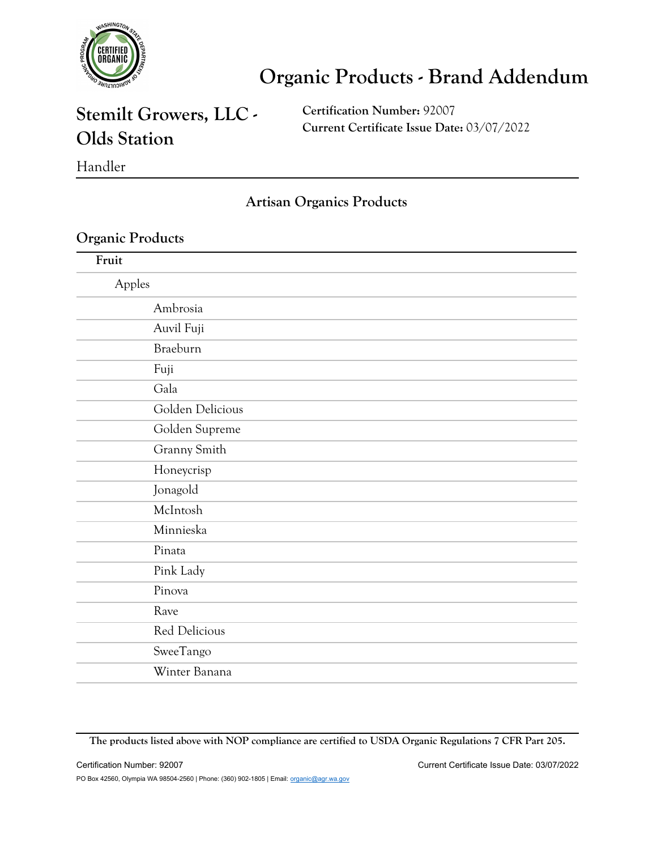

### **Stemilt Growers, LLC - Olds Station**

**Certification Number:** 92007 **Current Certificate Issue Date:** 03/07/2022

#### Handler

#### **Artisan Organics Products**

#### **Organic Products**

| Fruit  |                  |
|--------|------------------|
| Apples |                  |
|        | Ambrosia         |
|        | Auvil Fuji       |
|        | Braeburn         |
|        | Fuji             |
|        | Gala             |
|        | Golden Delicious |
|        | Golden Supreme   |
|        | Granny Smith     |
|        | Honeycrisp       |
|        | Jonagold         |
|        | McIntosh         |
|        | Minnieska        |
|        | Pinata           |
|        | Pink Lady        |
|        | Pinova           |
|        | Rave             |
|        | Red Delicious    |
|        | SweeTango        |
|        | Winter Banana    |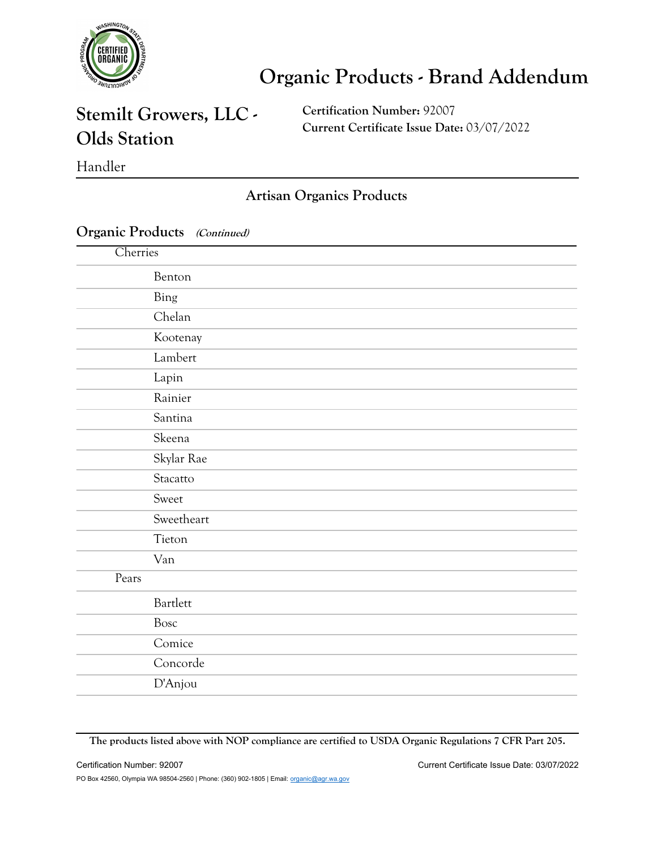

### **Stemilt Growers, LLC - Olds Station**

**Certification Number:** 92007 **Current Certificate Issue Date:** 03/07/2022

Handler

#### **Artisan Organics Products**

#### **Organic Products (Continued)**

| Cherries |            |
|----------|------------|
|          | Benton     |
|          | Bing       |
|          | Chelan     |
|          | Kootenay   |
|          | Lambert    |
|          | Lapin      |
|          | Rainier    |
|          | Santina    |
|          | Skeena     |
|          | Skylar Rae |
|          | Stacatto   |
|          | Sweet      |
|          | Sweetheart |
|          | Tieton     |
|          | Van        |
| Pears    |            |
|          | Bartlett   |
|          | Bosc       |
|          | Comice     |
|          | Concorde   |
|          | D'Anjou    |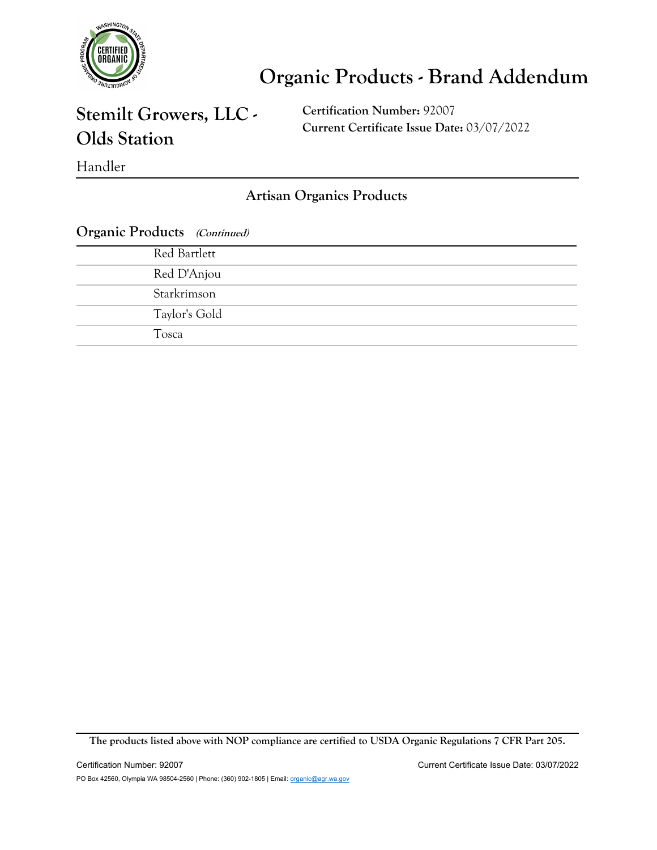

## **Stemilt Growers, LLC - Olds Station**

**Certification Number:** 92007 **Current Certificate Issue Date:** 03/07/2022

Handler

**Artisan Organics Products**

| <b>Organic Products</b> (Continued) |  |  |
|-------------------------------------|--|--|
| Red Bartlett                        |  |  |
| Red D'Anjou                         |  |  |
| Starkrimson                         |  |  |
| Taylor's Gold                       |  |  |
| Tosca                               |  |  |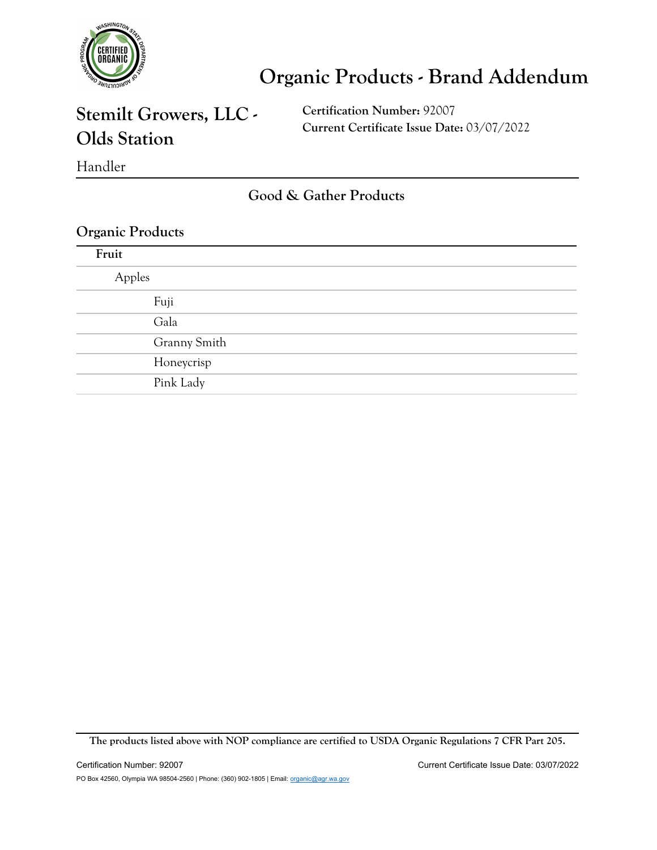

### **Stemilt Growers, LLC - Olds Station**

**Certification Number:** 92007 **Current Certificate Issue Date:** 03/07/2022

Handler

**Good & Gather Products**

#### **Organic Products**

| Fruit  |              |
|--------|--------------|
| Apples |              |
|        | Fuji         |
|        | Gala         |
|        | Granny Smith |
|        | Honeycrisp   |
|        | Pink Lady    |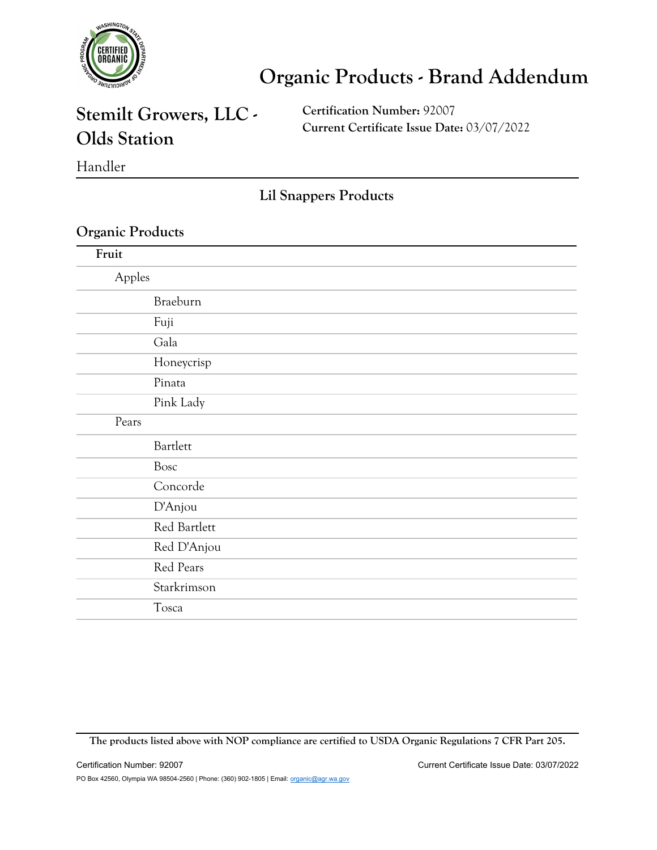

### **Stemilt Growers, LLC - Olds Station**

**Certification Number:** 92007 **Current Certificate Issue Date:** 03/07/2022

Handler

**Lil Snappers Products**

#### **Organic Products**

| Fruit  |              |
|--------|--------------|
| Apples |              |
|        | Braeburn     |
|        | Fuji         |
|        | Gala         |
|        | Honeycrisp   |
|        | Pinata       |
|        | Pink Lady    |
| Pears  |              |
|        | Bartlett     |
|        | <b>Bosc</b>  |
|        | Concorde     |
|        | D'Anjou      |
|        | Red Bartlett |
|        | Red D'Anjou  |
|        | Red Pears    |
|        | Starkrimson  |
|        | Tosca        |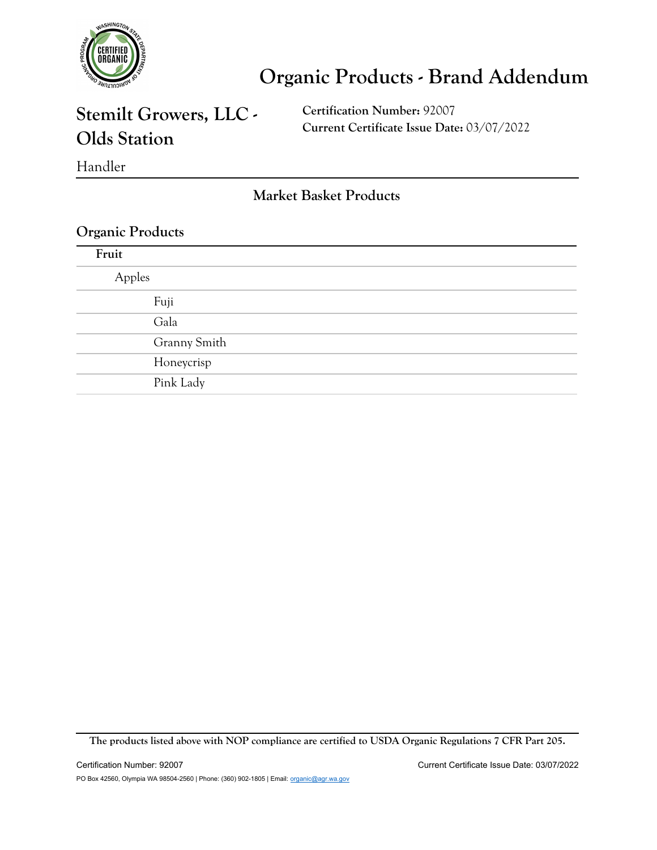

### **Stemilt Growers, LLC - Olds Station**

**Certification Number:** 92007 **Current Certificate Issue Date:** 03/07/2022

Handler

**Market Basket Products**

#### **Organic Products**

| Fruit  |              |
|--------|--------------|
| Apples |              |
|        | Fuji         |
|        | Gala         |
|        | Granny Smith |
|        | Honeycrisp   |
|        | Pink Lady    |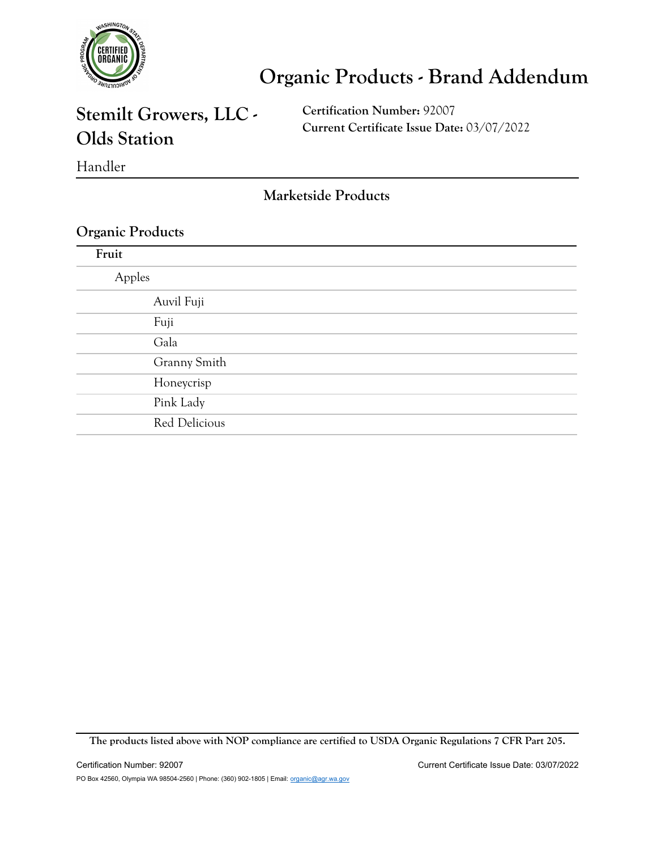

### **Stemilt Growers, LLC - Olds Station**

**Certification Number:** 92007 **Current Certificate Issue Date:** 03/07/2022

Handler

**Marketside Products**

#### **Organic Products**

| Fruit  |               |
|--------|---------------|
| Apples |               |
|        | Auvil Fuji    |
|        | Fuji          |
|        | Gala          |
|        | Granny Smith  |
|        | Honeycrisp    |
|        | Pink Lady     |
|        | Red Delicious |
|        |               |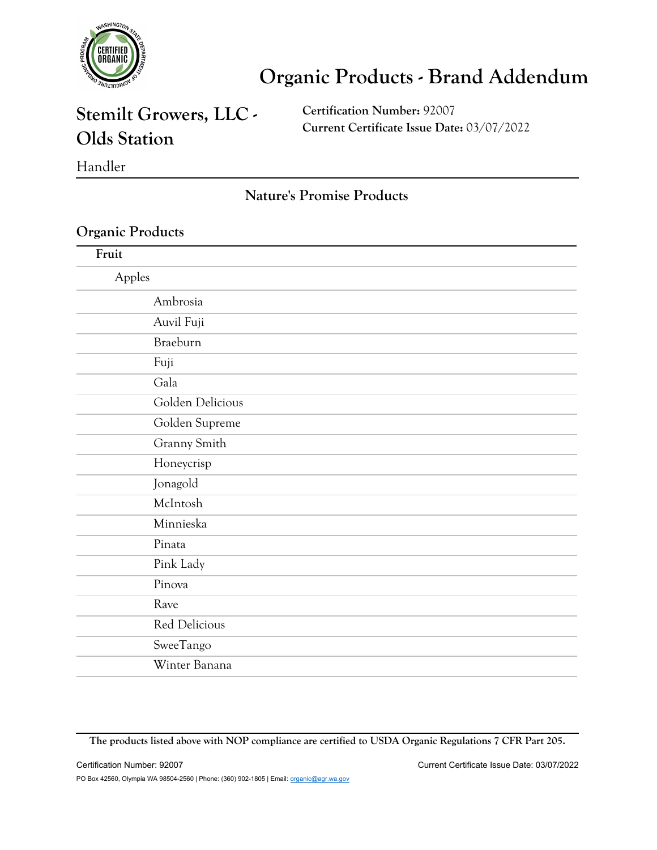

### **Stemilt Growers, LLC - Olds Station**

**Certification Number:** 92007 **Current Certificate Issue Date:** 03/07/2022

Handler

#### **Nature's Promise Products**

#### **Organic Products**

| Fruit  |                  |
|--------|------------------|
| Apples |                  |
|        | Ambrosia         |
|        | Auvil Fuji       |
|        | Braeburn         |
| Fuji   |                  |
| Gala   |                  |
|        | Golden Delicious |
|        | Golden Supreme   |
|        | Granny Smith     |
|        | Honeycrisp       |
|        | Jonagold         |
|        | McIntosh         |
|        | Minnieska        |
| Pinata |                  |
|        | Pink Lady        |
| Pinova |                  |
| Rave   |                  |
|        | Red Delicious    |
|        | SweeTango        |
|        | Winter Banana    |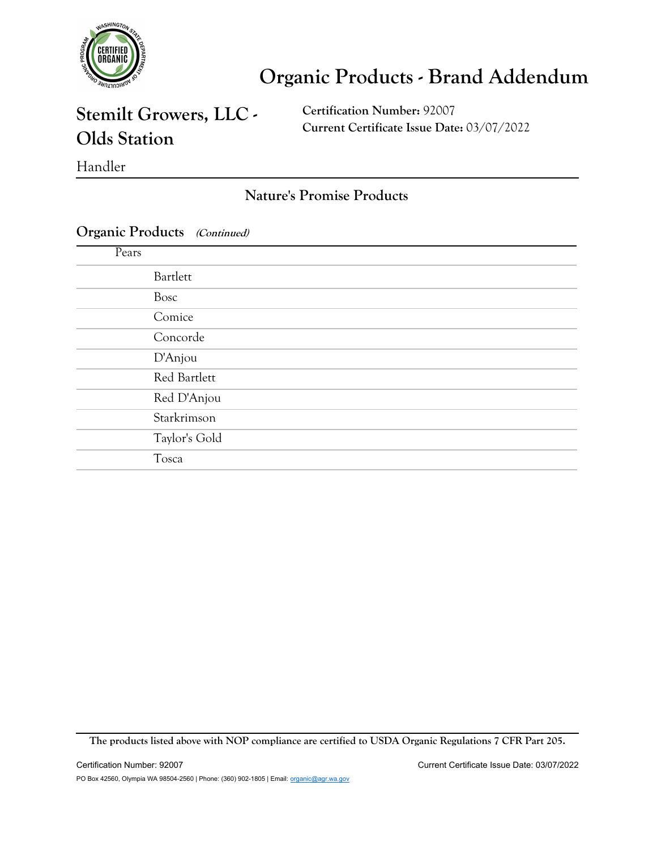

### **Stemilt Growers, LLC - Olds Station**

**Certification Number:** 92007 **Current Certificate Issue Date:** 03/07/2022

#### Handler

#### **Nature's Promise Products**

#### **Organic Products (Continued)**

| Pears |               |
|-------|---------------|
|       | Bartlett      |
|       | Bosc          |
|       | Comice        |
|       | Concorde      |
|       | D'Anjou       |
|       | Red Bartlett  |
|       | Red D'Anjou   |
|       | Starkrimson   |
|       | Taylor's Gold |
|       | Tosca         |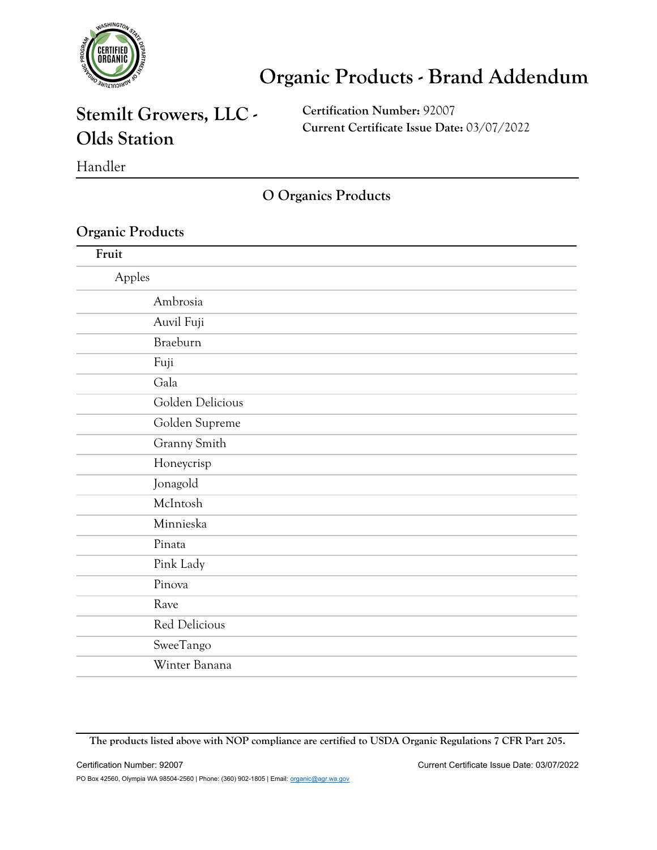

### **Stemilt Growers, LLC - Olds Station**

**Certification Number:** 92007 **Current Certificate Issue Date:** 03/07/2022

Handler

**O Organics Products**

#### **Organic Products**

| Fruit            |  |
|------------------|--|
| Apples           |  |
| Ambrosia         |  |
| Auvil Fuji       |  |
| Braeburn         |  |
| Fuji             |  |
| Gala             |  |
| Golden Delicious |  |
| Golden Supreme   |  |
| Granny Smith     |  |
| Honeycrisp       |  |
| Jonagold         |  |
| McIntosh         |  |
| Minnieska        |  |
| Pinata           |  |
| Pink Lady        |  |
| Pinova           |  |
| Rave             |  |
| Red Delicious    |  |
| SweeTango        |  |
| Winter Banana    |  |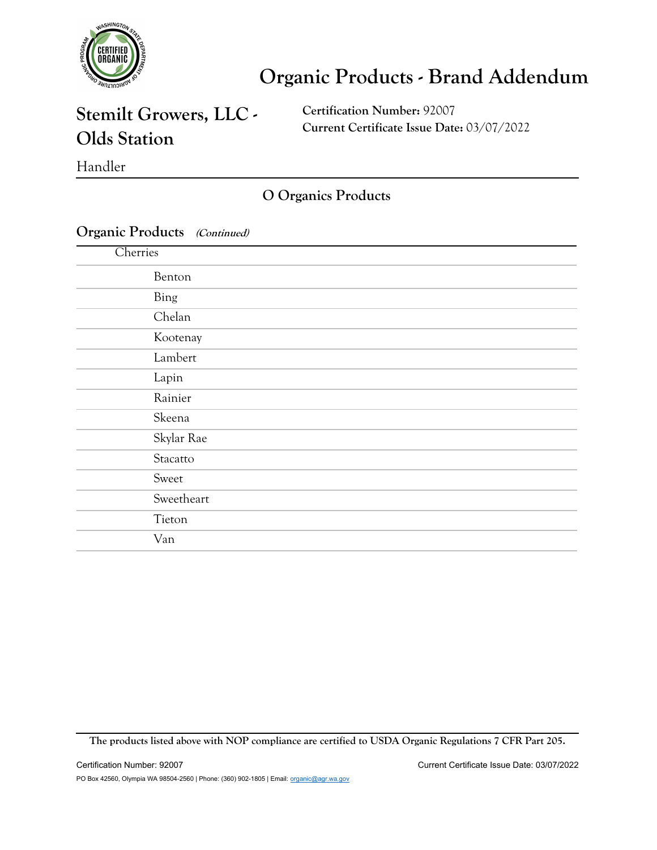

### **Stemilt Growers, LLC - Olds Station**

**Certification Number:** 92007 **Current Certificate Issue Date:** 03/07/2022

Handler

#### **O Organics Products**

#### **Organic Products (Continued)**

| Cherries   |  |
|------------|--|
| Benton     |  |
| Bing       |  |
| Chelan     |  |
| Kootenay   |  |
| Lambert    |  |
| Lapin      |  |
| Rainier    |  |
| Skeena     |  |
| Skylar Rae |  |
| Stacatto   |  |
| Sweet      |  |
| Sweetheart |  |
| Tieton     |  |
| Van        |  |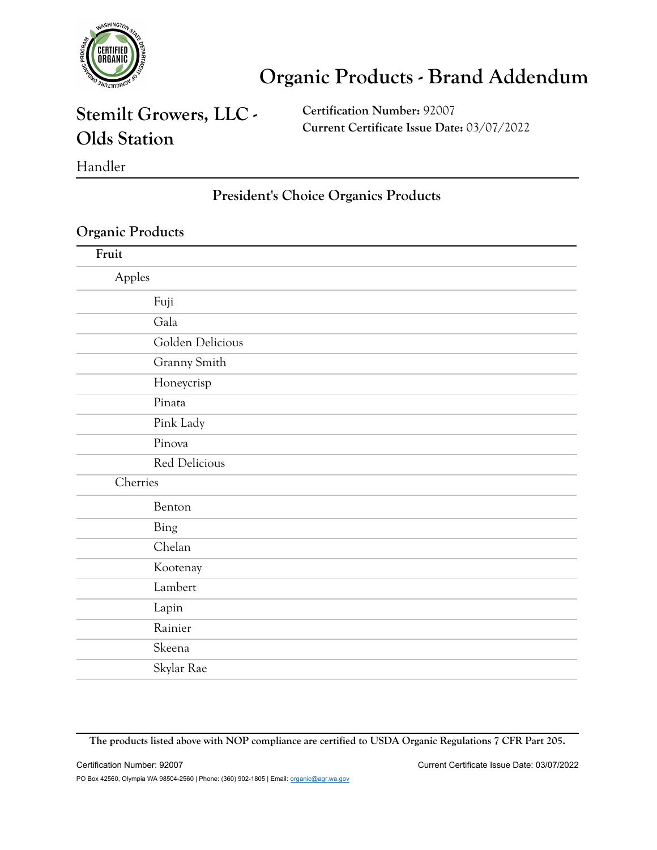

### **Stemilt Growers, LLC - Olds Station**

**Certification Number:** 92007 **Current Certificate Issue Date:** 03/07/2022

Handler

#### **President's Choice Organics Products**

#### **Organic Products**

| Fruit            |  |
|------------------|--|
| Apples           |  |
| Fuji             |  |
| Gala             |  |
| Golden Delicious |  |
| Granny Smith     |  |
| Honeycrisp       |  |
| Pinata           |  |
| Pink Lady        |  |
| Pinova           |  |
| Red Delicious    |  |
| Cherries         |  |
| Benton           |  |
| Bing             |  |
| Chelan           |  |
| Kootenay         |  |
| Lambert          |  |
| Lapin            |  |
| Rainier          |  |
| Skeena           |  |
| Skylar Rae       |  |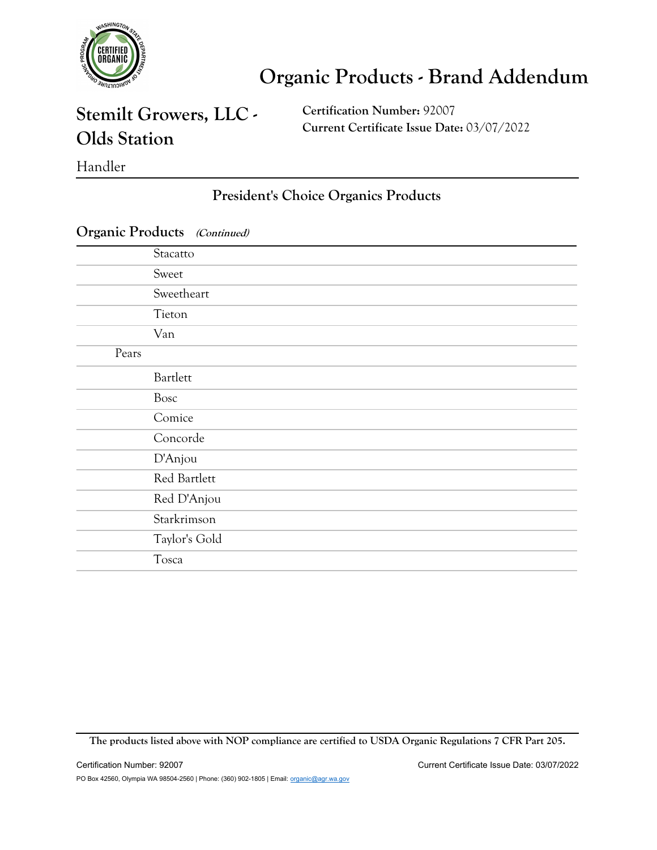

### **Stemilt Growers, LLC - Olds Station**

**Certification Number:** 92007 **Current Certificate Issue Date:** 03/07/2022

#### Handler

#### **President's Choice Organics Products**

|       | Stacatto      |
|-------|---------------|
|       | Sweet         |
|       | Sweetheart    |
|       | Tieton        |
|       | Van           |
| Pears |               |
|       | Bartlett      |
|       | Bosc          |
|       | Comice        |
|       | Concorde      |
|       | D'Anjou       |
|       | Red Bartlett  |
|       | Red D'Anjou   |
|       | Starkrimson   |
|       | Taylor's Gold |
|       | Tosca         |
|       |               |

#### **Organic Products (Continued)**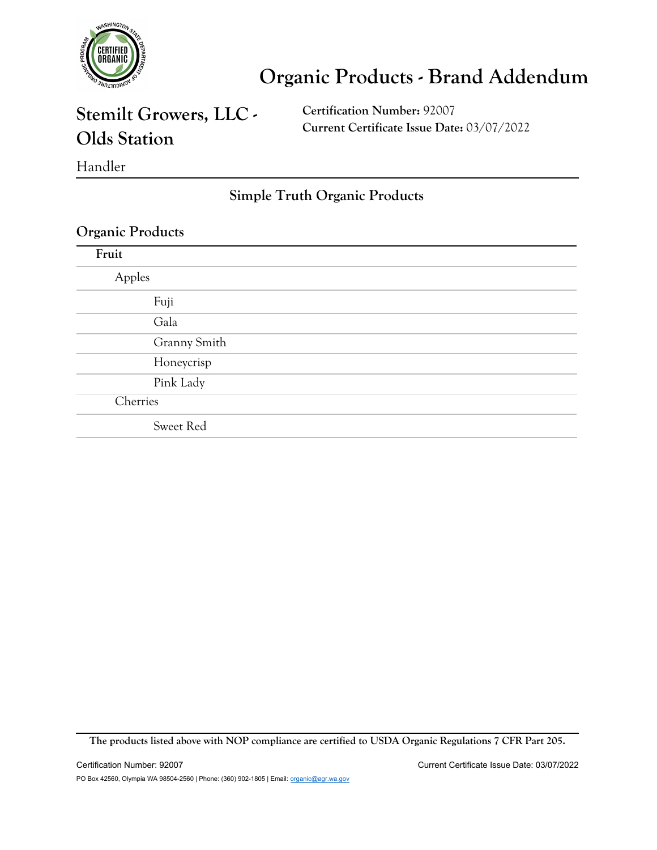

## **Stemilt Growers, LLC - Olds Station**

**Certification Number:** 92007 **Current Certificate Issue Date:** 03/07/2022

Handler

#### **Simple Truth Organic Products**

#### **Organic Products**

| Fruit        |  |
|--------------|--|
| Apples       |  |
| Fuji         |  |
| Gala         |  |
| Granny Smith |  |
| Honeycrisp   |  |
| Pink Lady    |  |
| Cherries     |  |
| Sweet Red    |  |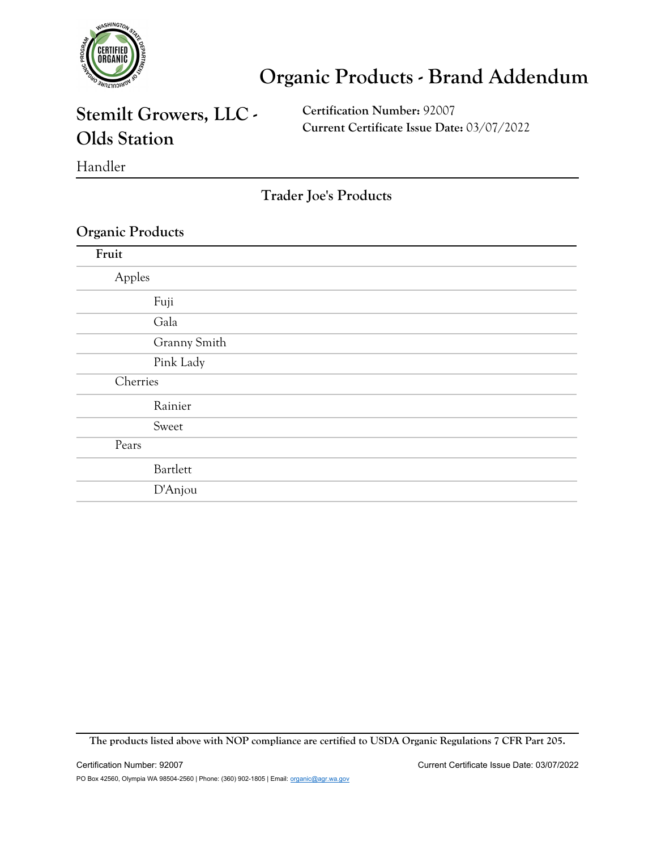

### **Stemilt Growers, LLC - Olds Station**

**Certification Number:** 92007 **Current Certificate Issue Date:** 03/07/2022

Handler

**Trader Joe's Products**

#### **Organic Products**

| Fruit    |              |
|----------|--------------|
| Apples   |              |
|          | Fuji         |
|          | Gala         |
|          | Granny Smith |
|          | Pink Lady    |
| Cherries |              |
|          | Rainier      |
|          | Sweet        |
| Pears    |              |
|          | Bartlett     |
|          | D'Anjou      |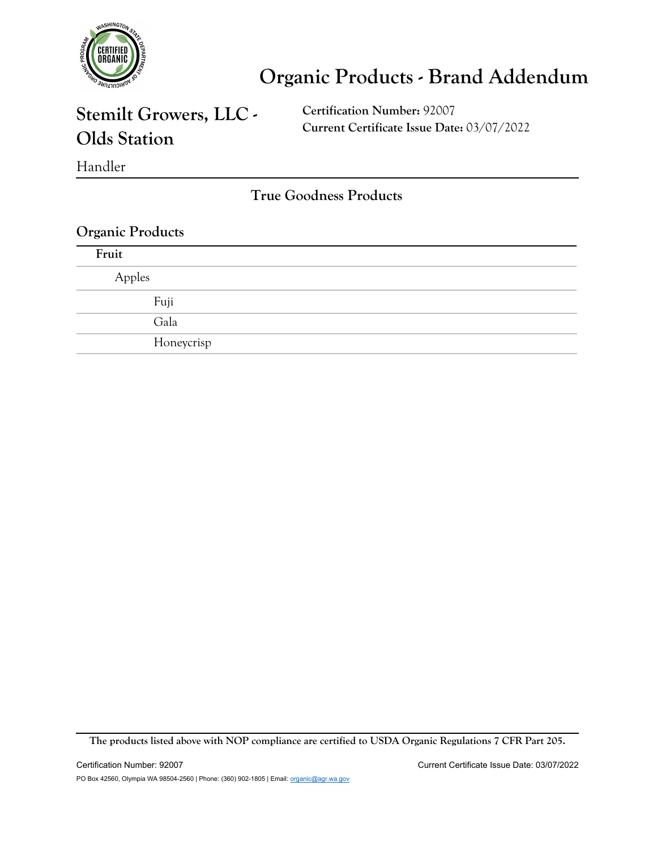

### **Stemilt Growers, LLC - Olds Station**

**Certification Number:** 92007 **Current Certificate Issue Date:** 03/07/2022

Handler

**True Goodness Products**

#### **Organic Products**

| Fruit  |            |
|--------|------------|
| Apples |            |
|        | Fuji       |
|        | Gala       |
|        | Honeycrisp |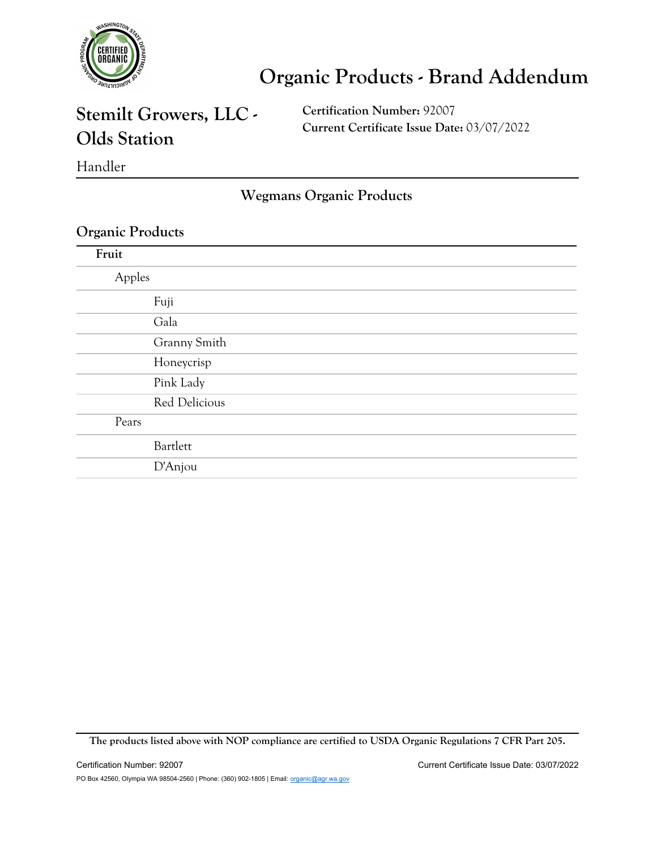

### **Stemilt Growers, LLC - Olds Station**

**Certification Number:** 92007 **Current Certificate Issue Date:** 03/07/2022

Handler

**Wegmans Organic Products**

#### **Organic Products**

| Fruit  |               |
|--------|---------------|
| Apples |               |
|        | Fuji          |
|        | Gala          |
|        | Granny Smith  |
|        | Honeycrisp    |
|        | Pink Lady     |
|        | Red Delicious |
| Pears  |               |
|        | Bartlett      |
|        | D'Anjou       |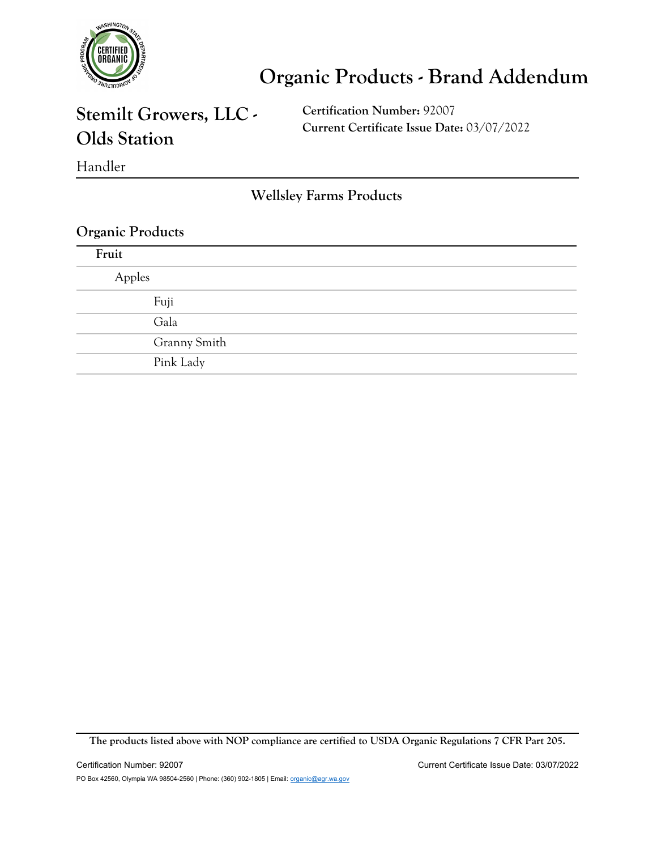

### **Stemilt Growers, LLC - Olds Station**

**Certification Number:** 92007 **Current Certificate Issue Date:** 03/07/2022

Handler

**Wellsley Farms Products**

#### **Organic Products**

| Fruit  |              |
|--------|--------------|
| Apples |              |
| Fuji   |              |
| Gala   |              |
|        | Granny Smith |
|        | Pink Lady    |